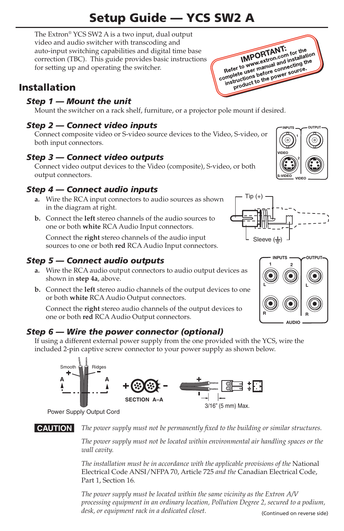# Setup Guide — YCS SW2 A

The Extron® YCS SW2 A is a two input, dual output video and audio switcher with transcoding and auto-input switching capabilities and digital time base correction (TBC). This guide provides basic instructions for setting up and operating the switcher.

## Installation

## *Step 1 — Mount the unit*

Mount the switcher on a rack shelf, furniture, or a projector pole mount if desired.

## *Step 2 — Connect video inputs*

Connect composite video or S-video source devices to the Video, S-video, or both input connectors.

## *Step 3 — Connect video outputs*

Connect video output devices to the Video (composite), S-video, or both output connectors.

## *Step 4 — Connect audio inputs*

- **a.** Wire the RCA input connectors to audio sources as shown in the diagram at right.
- **b.**  Connect the **left** stereo channels of the audio sources to one or both **white** RCA Audio Input connectors.

Connect the **right** stereo channels of the audio input sources to one or both **red** RCA Audio Input connectors.

## *Step 5 — Connect audio outputs*

- **a.** Wire the RCA audio output connectors to audio output devices as shown in **step 4a**, above.
- **b.**  Connect the **left** stereo audio channels of the output devices to one or both **white** RCA Audio Output connectors.

Connect the **right** stereo audio channels of the output devices to one or both **red** RCA Audio Output connectors.

## *Step 6 — Wire the power connector (optional)*

If using a different external power supply from the one provided with the YCS, wire the included 2-pin captive screw connector to your power supply as shown below.



Power Supply Output Cord

C *The power supply must not be permanently fixed to the building or similar structures.*

*The power supply must not be located within environmental air handling spaces or the wall cavity.*

*The installation must be in accordance with the applicable provisions of the* National Electrical Code ANSI/NFPA 70, Article 725 *and the* Canadian Electrical Code, Part 1, Section 16*.*

*The power supply must be located within the same vicinity as the Extron A/V processing equipment in an ordinary location, Pollution Degree 2, secured to a podium, desk, or equipment rack in a dedicated closet.* (Continued on reverse side)